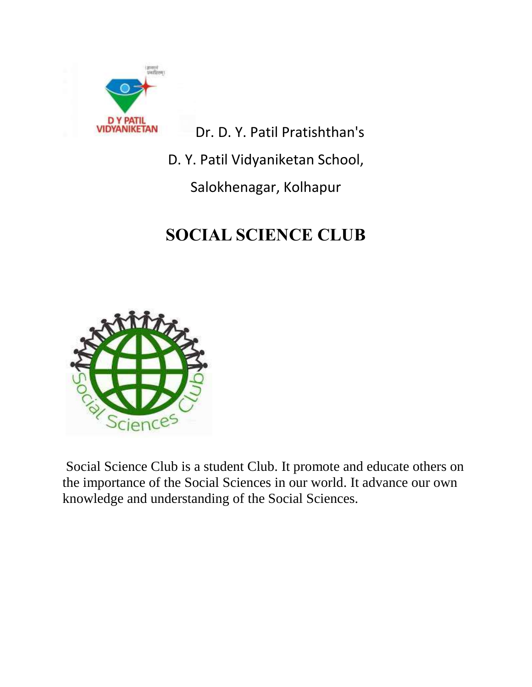

Dr. D. Y. Patil Pratishthan's

D. Y. Patil Vidyaniketan School,

Salokhenagar, Kolhapur

# **SOCIAL SCIENCE CLUB**



Social Science Club is a student Club. It promote and educate others on the importance of the Social Sciences in our world. It advance our own knowledge and understanding of the Social Sciences.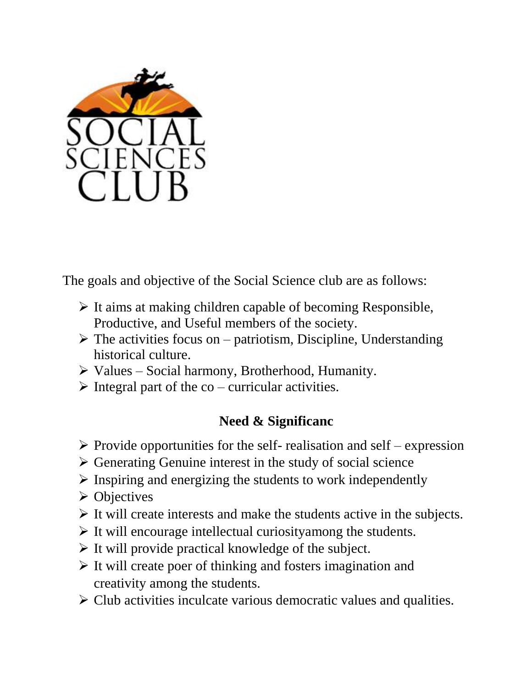

The goals and objective of the Social Science club are as follows:

- $\triangleright$  It aims at making children capable of becoming Responsible, Productive, and Useful members of the society.
- $\triangleright$  The activities focus on patriotism, Discipline, Understanding historical culture.
- $\triangleright$  Values Social harmony, Brotherhood, Humanity.
- $\triangleright$  Integral part of the co curricular activities.

## **Need & Significanc**

- $\triangleright$  Provide opportunities for the self- realisation and self expression
- $\triangleright$  Generating Genuine interest in the study of social science
- $\triangleright$  Inspiring and energizing the students to work independently
- $\triangleright$  Objectives
- $\triangleright$  It will create interests and make the students active in the subjects.
- $\triangleright$  It will encourage intellectual curiosityamong the students.
- $\triangleright$  It will provide practical knowledge of the subject.
- $\triangleright$  It will create poer of thinking and fosters imagination and creativity among the students.
- $\triangleright$  Club activities inculcate various democratic values and qualities.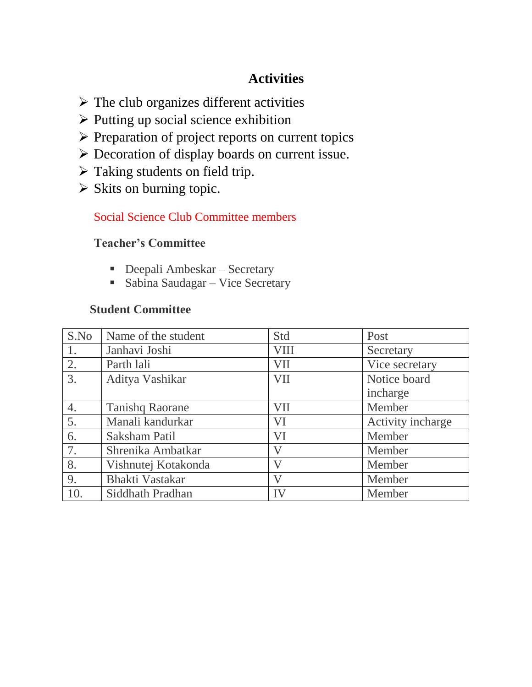### **Activities**

- $\triangleright$  The club organizes different activities
- $\triangleright$  Putting up social science exhibition
- $\triangleright$  Preparation of project reports on current topics
- Decoration of display boards on current issue.
- $\triangleright$  Taking students on field trip.
- $\triangleright$  Skits on burning topic.

#### Social Science Club Committee members

#### **Teacher's Committee**

- Deepali Ambeskar Secretary
- Sabina Saudagar Vice Secretary

#### **Student Committee**

| S.No | Name of the student    | Std         | Post              |
|------|------------------------|-------------|-------------------|
| 1.   | Janhavi Joshi          | <b>VIII</b> | Secretary         |
| 2.   | Parth lali             | VII         | Vice secretary    |
| 3.   | Aditya Vashikar        | VII         | Notice board      |
|      |                        |             | incharge          |
| 4.   | <b>Tanishq Raorane</b> | VII         | Member            |
| 5.   | Manali kandurkar       | VI          | Activity incharge |
| 6.   | Saksham Patil          | VI          | Member            |
| 7.   | Shrenika Ambatkar      | V           | Member            |
| 8.   | Vishnutej Kotakonda    | V           | Member            |
| 9.   | <b>Bhakti Vastakar</b> | V           | Member            |
| 10.  | Siddhath Pradhan       | IV          | Member            |